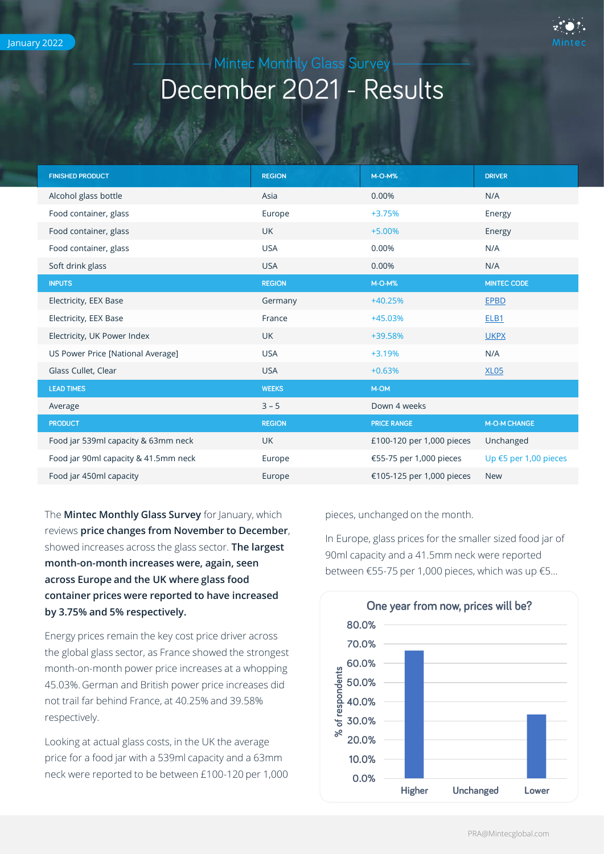

## Mintec Monthly Glass Survey December 2021 - Results

| <b>FINISHED PRODUCT</b>              | <b>REGION</b> | <b>M-O-M%</b>             | <b>DRIVER</b>         |
|--------------------------------------|---------------|---------------------------|-----------------------|
| Alcohol glass bottle                 | Asia          | 0.00%                     | N/A                   |
| Food container, glass                | Europe        | +3.75%                    | Energy                |
| Food container, glass                | <b>UK</b>     | $+5.00%$                  | Energy                |
| Food container, glass                | <b>USA</b>    | 0.00%                     | N/A                   |
| Soft drink glass                     | <b>USA</b>    | 0.00%                     | N/A                   |
| <b>INPUTS</b>                        | <b>REGION</b> | $M-O-M%$                  | <b>MINTEC CODE</b>    |
| Electricity, EEX Base                | Germany       | $+40.25%$                 | <b>EPBD</b>           |
| Electricity, EEX Base                | France        | +45.03%                   | ELB <sub>1</sub>      |
| Electricity, UK Power Index          | <b>UK</b>     | +39.58%                   | <b>UKPX</b>           |
| US Power Price [National Average]    | <b>USA</b>    | +3.19%                    | N/A                   |
| Glass Cullet, Clear                  | <b>USA</b>    | $+0.63%$                  | <b>XL05</b>           |
| <b>LEAD TIMES</b>                    | <b>WEEKS</b>  | M-OM                      |                       |
| Average                              | $3 - 5$       | Down 4 weeks              |                       |
| <b>PRODUCT</b>                       | <b>REGION</b> | <b>PRICE RANGE</b>        | <b>M-O-M CHANGE</b>   |
| Food jar 539ml capacity & 63mm neck  | <b>UK</b>     | £100-120 per 1,000 pieces | Unchanged             |
| Food jar 90ml capacity & 41.5mm neck | Europe        | €55-75 per 1,000 pieces   | Up €5 per 1,00 pieces |
| Food jar 450ml capacity              | Europe        | €105-125 per 1,000 pieces | <b>New</b>            |

The **Mintec Monthly Glass Survey** for January, which reviews **price changes from November to December**, showed increases across the glass sector. **The largest month-on-month increases were, again, seen across Europe and the UK where glass food container prices were reported to have increased by 3.75% and 5% respectively.** 

Energy prices remain the key cost price driver across the global glass sector, as France showed the strongest month-on-month power price increases at a whopping 45.03%. German and British power price increases did not trail far behind France, at 40.25% and 39.58% respectively.

Looking at actual glass costs, in the UK the average price for a food jar with a 539ml capacity and a 63mm neck were reported to be between £100-120 per 1,000 pieces, unchanged on the month.

In Europe, glass prices for the smaller sized food jar of 90ml capacity and a 41.5mm neck were reported between €55-75 per 1,000 pieces, which was up €5…

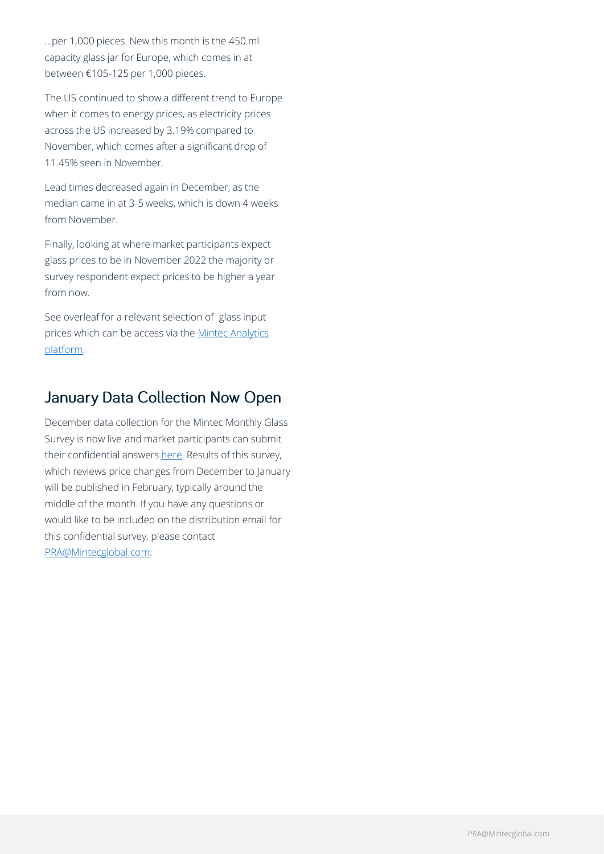…per 1,000 pieces. New this month is the 450 ml capacity glass jar for Europe, which comes in at between €105-125 per 1,000 pieces.

The US continued to show a different trend to Europe when it comes to energy prices, as electricity prices across the US increased by 3.19% compared to November, which comes after a significant drop of 11.45% seen in November.

Lead times decreased again in December, as the median came in at 3-5 weeks, which is down 4 weeks from November.

Finally, looking at where market participants expect glass prices to be in November 2022 the majority or survey respondent expect prices to be higher a year from now.

See overleaf for a relevant selection of glass input [prices which can be access via the Mintec Analytics](https://www.mintecglobal.com/mintec-analytics) platform.

## January Data Collection Now Open

December data collection for the Mintec Monthly Glass Survey is now live and market participants can submit their confidential answers [here](https://www.surveymonkey.co.uk/r/HYCNJTY). Results of this survey, which reviews price changes from December to January will be published in February, typically around the middle of the month. If you have any questions or would like to be included on the distribution email for this confidential survey, please contact [PRA@Mintecglobal.com.](mailto:PRA@Mintecglobal.com)